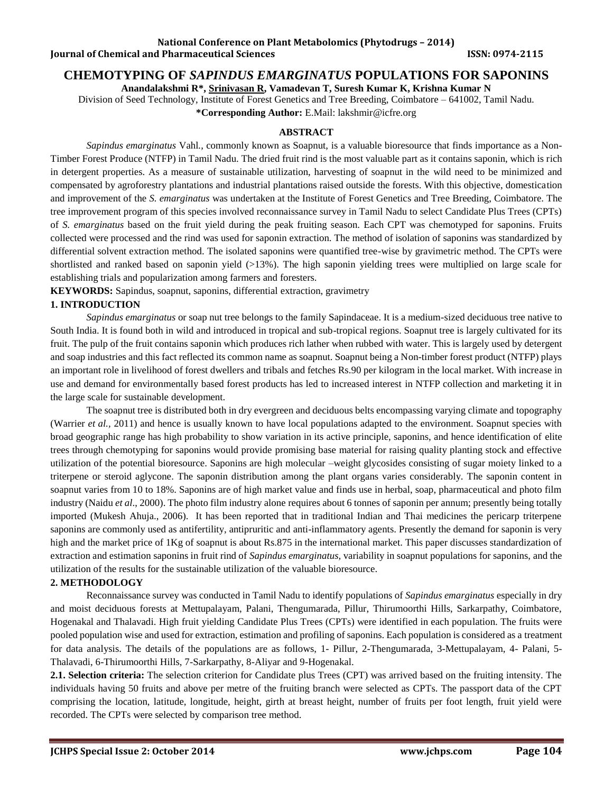# **National Conference on Plant Metabolomics (Phytodrugs – 2014) Iournal of Chemical and Pharmaceutical Sciences ISSN: 0974-2115**

# **CHEMOTYPING OF** *SAPINDUS EMARGINATUS* **POPULATIONS FOR SAPONINS**

**Anandalakshmi R\*, Srinivasan R, Vamadevan T, Suresh Kumar K, Krishna Kumar N**

Division of Seed Technology, Institute of Forest Genetics and Tree Breeding, Coimbatore – 641002, Tamil Nadu.

**\*Corresponding Author:** E.Mail[: lakshmir@icfre.org](mailto:lakshmir@icfre.org)

# **ABSTRACT**

*Sapindus emarginatus* Vahl*.*, commonly known as Soapnut, is a valuable bioresource that finds importance as a Non-Timber Forest Produce (NTFP) in Tamil Nadu. The dried fruit rind is the most valuable part as it contains saponin, which is rich in detergent properties. As a measure of sustainable utilization, harvesting of soapnut in the wild need to be minimized and compensated by agroforestry plantations and industrial plantations raised outside the forests. With this objective, domestication and improvement of the *S. emarginatus* was undertaken at the Institute of Forest Genetics and Tree Breeding, Coimbatore. The tree improvement program of this species involved reconnaissance survey in Tamil Nadu to select Candidate Plus Trees (CPTs) of *S. emarginatus* based on the fruit yield during the peak fruiting season. Each CPT was chemotyped for saponins. Fruits collected were processed and the rind was used for saponin extraction. The method of isolation of saponins was standardized by differential solvent extraction method. The isolated saponins were quantified tree-wise by gravimetric method. The CPTs were shortlisted and ranked based on saponin yield (>13%). The high saponin yielding trees were multiplied on large scale for establishing trials and popularization among farmers and foresters.

**KEYWORDS:** Sapindus, soapnut, saponins, differential extraction, gravimetry

# **1. INTRODUCTION**

*Sapindus emarginatus* or soap nut tree belongs to the family Sapindaceae. It is a medium-sized deciduous tree native to South India. It is found both in wild and introduced in tropical and sub-tropical regions. Soapnut tree is largely cultivated for its fruit. The pulp of the fruit contains saponin which produces rich lather when rubbed with water. This is largely used by detergent and soap industries and this fact reflected its common name as soapnut. Soapnut being a Non-timber forest product (NTFP) plays an important role in livelihood of forest dwellers and tribals and fetches Rs.90 per kilogram in the local market. With increase in use and demand for environmentally based forest products has led to increased interest in NTFP collection and marketing it in the large scale for sustainable development.

The soapnut tree is distributed both in dry evergreen and deciduous belts encompassing varying climate and topography (Warrier *et al.*, 2011) and hence is usually known to have local populations adapted to the environment. Soapnut species with broad geographic range has high probability to show variation in its active principle, saponins, and hence identification of elite trees through chemotyping for saponins would provide promising base material for raising quality planting stock and effective utilization of the potential bioresource. Saponins are high molecular –weight glycosides consisting of sugar moiety linked to a triterpene or steroid aglycone. The saponin distribution among the plant organs varies considerably. The saponin content in soapnut varies from 10 to 18%. Saponins are of high market value and finds use in herbal, soap, pharmaceutical and photo film industry (Naidu *et al*., 2000). The photo film industry alone requires about 6 tonnes of saponin per annum; presently being totally imported (Mukesh Ahuja., 2006). It has been reported that in traditional Indian and Thai medicines the pericarp triterpene saponins are commonly used as antifertility, antipruritic and anti-inflammatory agents. Presently the demand for saponin is very high and the market price of 1Kg of soapnut is about Rs.875 in the international market. This paper discusses standardization of extraction and estimation saponins in fruit rind of *Sapindus emarginatus,* variability in soapnut populations for saponins, and the utilization of the results for the sustainable utilization of the valuable bioresource.

# **2. METHODOLOGY**

Reconnaissance survey was conducted in Tamil Nadu to identify populations of *Sapindus emarginatus* especially in dry and moist deciduous forests at Mettupalayam, Palani, Thengumarada, Pillur, Thirumoorthi Hills, Sarkarpathy, Coimbatore, Hogenakal and Thalavadi. High fruit yielding Candidate Plus Trees (CPTs) were identified in each population. The fruits were pooled population wise and used for extraction, estimation and profiling of saponins. Each population is considered as a treatment for data analysis. The details of the populations are as follows, 1- Pillur, 2-Thengumarada, 3-Mettupalayam, 4- Palani, 5- Thalavadi, 6-Thirumoorthi Hills, 7-Sarkarpathy, 8-Aliyar and 9-Hogenakal.

**2.1. Selection criteria:** The selection criterion for Candidate plus Trees (CPT) was arrived based on the fruiting intensity. The individuals having 50 fruits and above per metre of the fruiting branch were selected as CPTs. The passport data of the CPT comprising the location, latitude, longitude, height, girth at breast height, number of fruits per foot length, fruit yield were recorded. The CPTs were selected by comparison tree method.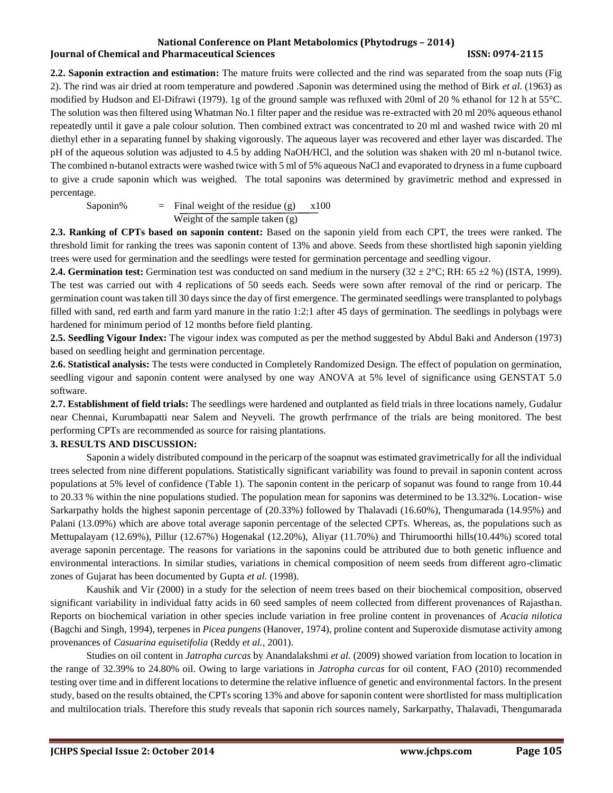### **National Conference on Plant Metabolomics (Phytodrugs – 2014) Journal of Chemical and Pharmaceutical Sciences ISSN: 0974-2115**

**2.2. Saponin extraction and estimation:** The mature fruits were collected and the rind was separated from the soap nuts (Fig 2). The rind was air dried at room temperature and powdered .Saponin was determined using the method of Birk *et al.* (1963) as modified by Hudson and El-Difrawi (1979). 1g of the ground sample was refluxed with 20ml of 20 % ethanol for 12 h at 55°C. The solution was then filtered using Whatman No.1 filter paper and the residue was re-extracted with 20 ml 20% aqueous ethanol repeatedly until it gave a pale colour solution. Then combined extract was concentrated to 20 ml and washed twice with 20 ml diethyl ether in a separating funnel by shaking vigorously. The aqueous layer was recovered and ether layer was discarded. The pH of the aqueous solution was adjusted to 4.5 by adding NaOH/HCl, and the solution was shaken with 20 ml n-butanol twice. The combined n-butanol extracts were washed twice with 5 ml of 5% aqueous NaCl and evaporated to dryness in a fume cupboard to give a crude saponin which was weighed. The total saponins was determined by gravimetric method and expressed in percentage.

Saponin%  $=$  Final weight of the residue (g)  $x100$ Weight of the sample taken (g)

**2.3. Ranking of CPTs based on saponin content:** Based on the saponin yield from each CPT, the trees were ranked. The threshold limit for ranking the trees was saponin content of 13% and above. Seeds from these shortlisted high saponin yielding trees were used for germination and the seedlings were tested for germination percentage and seedling vigour.

**2.4. Germination test:** Germination test was conducted on sand medium in the nursery  $(32 \pm 2^{\circ}C; RH: 65 \pm 2\%)$  (ISTA, 1999). The test was carried out with 4 replications of 50 seeds each. Seeds were sown after removal of the rind or pericarp. The germination count was taken till 30 days since the day of first emergence. The germinated seedlings were transplanted to polybags filled with sand, red earth and farm yard manure in the ratio 1:2:1 after 45 days of germination. The seedlings in polybags were hardened for minimum period of 12 months before field planting.

**2.5. Seedling Vigour Index:** The vigour index was computed as per the method suggested by Abdul Baki and Anderson (1973) based on seedling height and germination percentage.

**2.6. Statistical analysis:** The tests were conducted in Completely Randomized Design. The effect of population on germination, seedling vigour and saponin content were analysed by one way ANOVA at 5% level of significance using GENSTAT 5.0 software.

**2.7. Establishment of field trials:** The seedlings were hardened and outplanted as field trials in three locations namely, Gudalur near Chennai, Kurumbapatti near Salem and Neyveli. The growth perfrmance of the trials are being monitored. The best performing CPTs are recommended as source for raising plantations.

# **3. RESULTS AND DISCUSSION:**

Saponin a widely distributed compound in the pericarp of the soapnut was estimated gravimetrically for all the individual trees selected from nine different populations. Statistically significant variability was found to prevail in saponin content across populations at 5% level of confidence (Table 1). The saponin content in the pericarp of sopanut was found to range from 10.44 to 20.33 % within the nine populations studied. The population mean for saponins was determined to be 13.32%. Location- wise Sarkarpathy holds the highest saponin percentage of (20.33%) followed by Thalavadi (16.60%), Thengumarada (14.95%) and Palani (13.09%) which are above total average saponin percentage of the selected CPTs. Whereas, as, the populations such as Mettupalayam (12.69%), Pillur (12.67%) Hogenakal (12.20%), Aliyar (11.70%) and Thirumoorthi hills(10.44%) scored total average saponin percentage. The reasons for variations in the saponins could be attributed due to both genetic influence and environmental interactions. In similar studies, variations in chemical composition of neem seeds from different agro-climatic zones of Gujarat has been documented by Gupta *et al.* (1998).

Kaushik and Vir (2000) in a study for the selection of neem trees based on their biochemical composition, observed significant variability in individual fatty acids in 60 seed samples of neem collected from different provenances of Rajasthan. Reports on biochemical variation in other species include variation in free proline content in provenances of *Acacia nilotica* (Bagchi and Singh, 1994), terpenes in *Picea pungens* (Hanover, 1974), proline content and Superoxide dismutase activity among provenances of *Casuarina equisetifolia* (Reddy *et al.,* 2001).

Studies on oil content in *Jatropha curcas* by Anandalakshmi *et al.* (2009) showed variation from location to location in the range of 32.39% to 24.80% oil. Owing to large variations in *Jatropha curcas* for oil content, FAO (2010) recommended testing over time and in different locations to determine the relative influence of genetic and environmental factors. In the present study, based on the results obtained, the CPTs scoring 13% and above for saponin content were shortlisted for mass multiplication and multilocation trials. Therefore this study reveals that saponin rich sources namely, Sarkarpathy, Thalavadi, Thengumarada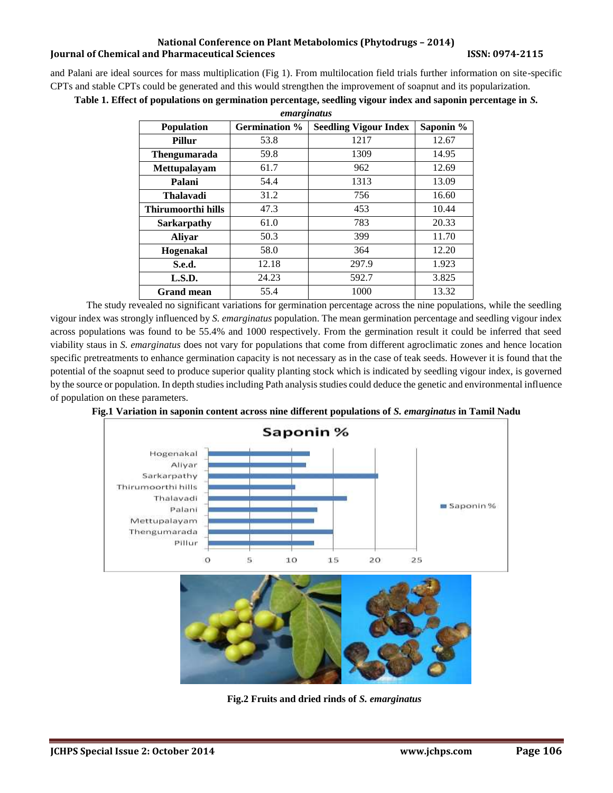### **National Conference on Plant Metabolomics (Phytodrugs – 2014) Iournal of Chemical and Pharmaceutical Sciences ISSN: 0974-2115**

and Palani are ideal sources for mass multiplication (Fig 1). From multilocation field trials further information on site-specific CPTs and stable CPTs could be generated and this would strengthen the improvement of soapnut and its popularization.

| emarginatus               |                      |                              |           |
|---------------------------|----------------------|------------------------------|-----------|
| Population                | <b>Germination %</b> | <b>Seedling Vigour Index</b> | Saponin % |
| Pillur                    | 53.8                 | 1217                         | 12.67     |
| Thengumarada              | 59.8                 | 1309                         | 14.95     |
| <b>Mettupalayam</b>       | 61.7                 | 962                          | 12.69     |
| Palani                    | 54.4                 | 1313                         | 13.09     |
| Thalavadi                 | 31.2                 | 756                          | 16.60     |
| <b>Thirumoorthi hills</b> | 47.3                 | 453                          | 10.44     |
| <b>Sarkarpathy</b>        | 61.0                 | 783                          | 20.33     |
| <b>Aliyar</b>             | 50.3                 | 399                          | 11.70     |
| Hogenakal                 | 58.0                 | 364                          | 12.20     |
| S.e.d.                    | 12.18                | 297.9                        | 1.923     |
| L.S.D.                    | 24.23                | 592.7                        | 3.825     |
| <b>Grand mean</b>         | 55.4                 | 1000                         | 13.32     |

**Table 1. Effect of populations on germination percentage, seedling vigour index and saponin percentage in** *S.* 

The study revealed no significant variations for germination percentage across the nine populations, while the seedling vigour index was strongly influenced by *S. emarginatus* population. The mean germination percentage and seedling vigour index across populations was found to be 55.4% and 1000 respectively. From the germination result it could be inferred that seed viability staus in *S. emarginatus* does not vary for populations that come from different agroclimatic zones and hence location specific pretreatments to enhance germination capacity is not necessary as in the case of teak seeds. However it is found that the potential of the soapnut seed to produce superior quality planting stock which is indicated by seedling vigour index, is governed by the source or population. In depth studies including Path analysis studies could deduce the genetic and environmental influence of population on these parameters.





**Fig.2 Fruits and dried rinds of** *S. emarginatus*